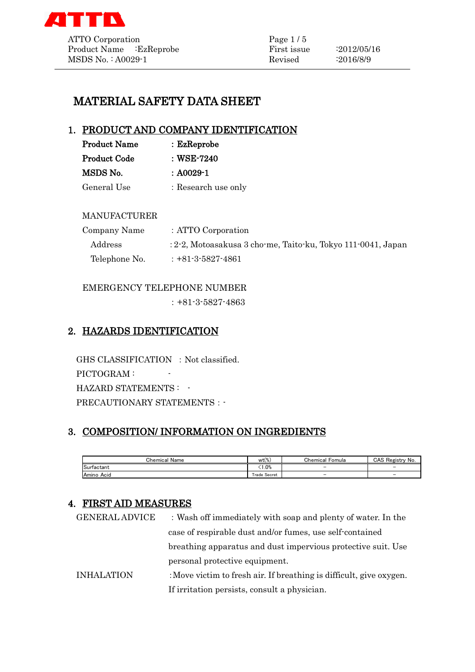

# MATERIAL SAFETY DATA SHEET

# 1. PRODUCT AND COMPANY IDENTIFICATION

| <b>Product Name</b> | $:$ Ez $\mathbf{Reprobe}$ |
|---------------------|---------------------------|
| <b>Product Code</b> | : WSE-7240                |
| MSDS No.            | $: A0029 - 1$             |
| General Use         | : Research use only       |

## MANUFACTURER

| Company Name  | : ATTO Corporation                                              |
|---------------|-----------------------------------------------------------------|
| Address       | $: 2-2$ , Motoasakusa 3 cho-me, Taito-ku, Tokyo 111-0041, Japan |
| Telephone No. | $: +81 - 3 - 5827 - 4861$                                       |

## EMERGENCY TELEPHONE NUMBER

:+81-3-5827-4863

# 2. HAZARDS IDENTIFICATION

GHS CLASSIFICATION : Not classified. PICTOGRAM : -HAZARD STATEMENTS : -PRECAUTIONARY STATEMENTS : -

# 3. COMPOSITION/ INFORMATION ON INGREDIENTS

| Name<br>Chemical            | .10 <sup>o</sup><br>wt()<br>w. | Chemical<br>Fomula | CAS<br>Registry<br>∴No.  |
|-----------------------------|--------------------------------|--------------------|--------------------------|
| $\sim$<br><b>Surfactant</b> | 1.0%                           | $\sim$             | $\overline{\phantom{a}}$ |
| Amino<br>Acid               | Trade Secret                   | $\sim$             | $\overline{\phantom{a}}$ |

## 4. FIRST AID MEASURES

| <b>GENERAL ADVICE</b> | : Wash off immediately with soap and plenty of water. In the        |
|-----------------------|---------------------------------------------------------------------|
|                       | case of respirable dust and/or fumes, use self-contained            |
|                       | breathing apparatus and dust impervious protective suit. Use        |
|                       | personal protective equipment.                                      |
| <b>INHALATION</b>     | : Move victim to fresh air. If breathing is difficult, give oxygen. |
|                       | If irritation persists, consult a physician.                        |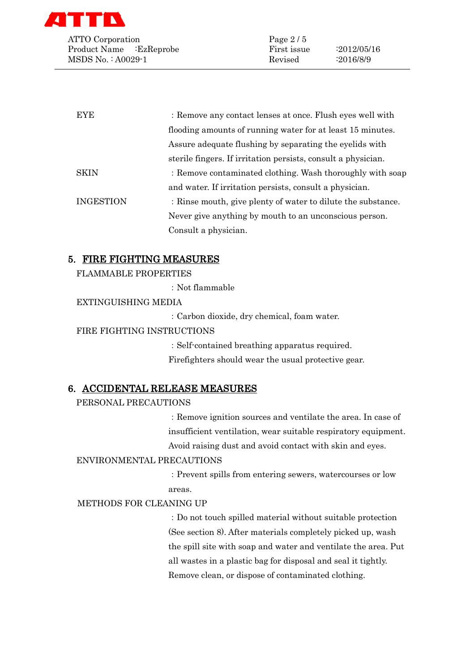

ATTO Corporation Page 2/5 Product Name :EzReprobe First issue :2012/05/16 MSDS No. : A0029-1 Revised :2016/8/9

| <b>EYE</b>       | : Remove any contact lenses at once. Flush eyes well with     |
|------------------|---------------------------------------------------------------|
|                  | flooding amounts of running water for at least 15 minutes.    |
|                  | Assure adequate flushing by separating the eyelids with       |
|                  | sterile fingers. If irritation persists, consult a physician. |
| SKIN             | : Remove contaminated clothing. Wash thoroughly with soap     |
|                  | and water. If irritation persists, consult a physician.       |
| <b>INGESTION</b> | : Rinse mouth, give plenty of water to dilute the substance.  |
|                  | Never give anything by mouth to an unconscious person.        |
|                  | Consult a physician.                                          |

## 5. FIRE FIGHTING MEASURES

FLAMMABLE PROPERTIES

:Not flammable

#### EXTINGUISHING MEDIA

:Carbon dioxide, dry chemical, foam water.

#### FIRE FIGHTING INSTRUCTIONS

:Self-contained breathing apparatus required. Firefighters should wear the usual protective gear.

## 6. ACCIDENTAL RELEASE MEASURES

#### PERSONAL PRECAUTIONS

:Remove ignition sources and ventilate the area. In case of insufficient ventilation, wear suitable respiratory equipment. Avoid raising dust and avoid contact with skin and eyes.

#### ENVIRONMENTAL PRECAUTIONS

:Prevent spills from entering sewers, watercourses or low areas.

#### METHODS FOR CLEANING UP

:Do not touch spilled material without suitable protection (See section 8). After materials completely picked up, wash the spill site with soap and water and ventilate the area. Put all wastes in a plastic bag for disposal and seal it tightly. Remove clean, or dispose of contaminated clothing.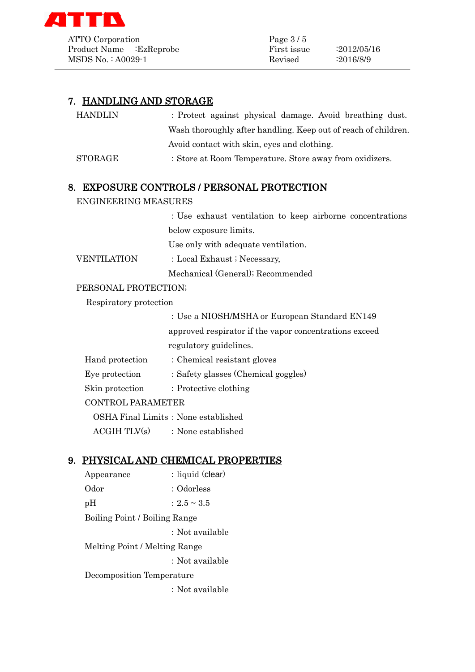

ATTO Corporation Page 3/5 Product Name :EzReprobe First issue :2012/05/16 MSDS No. : A0029-1 Revised :2016/8/9

| HANDLIN                  | : Protect against physical damage. Avoid breathing dust.       |
|--------------------------|----------------------------------------------------------------|
|                          | Wash thoroughly after handling. Keep out of reach of children. |
|                          | Avoid contact with skin, eyes and clothing.                    |
| $\operatorname{STORAGE}$ | : Store at Room Temperature. Store away from oxidizers.        |

## 8. EXPOSURE CONTROLS / PERSONAL PROTECTION

#### ENGINEERING MEASURES

:Use exhaust ventilation to keep airborne concentrations below exposure limits.

Use only with adequate ventilation.

VENTILATION : Local Exhaust ; Necessary,

Mechanical (General); Recommended

#### PERSONAL PROTECTION;

Respiratory protection

:Use a NIOSH/MSHA or European Standard EN149 approved respirator if the vapor concentrations exceed regulatory guidelines.

| Hand protection          | : Chemical resistant gloves         |  |
|--------------------------|-------------------------------------|--|
| Eye protection           | : Safety glasses (Chemical goggles) |  |
| Skin protection          | $\therefore$ Protective clothing    |  |
| <b>CONTROL PARAMETER</b> |                                     |  |
|                          |                                     |  |

OSHA Final Limits: None established

 $ACGIH TLV(s)$  : None established

## 9. PHYSICAL AND CHEMICAL PROPERTIES

Appearance : liquid (clear) Odor : Odorless pH :  $2.5 \sim 3.5$ Boiling Point / Boiling Range :Not available Melting Point / Melting Range :Not available Decomposition Temperature

:Not available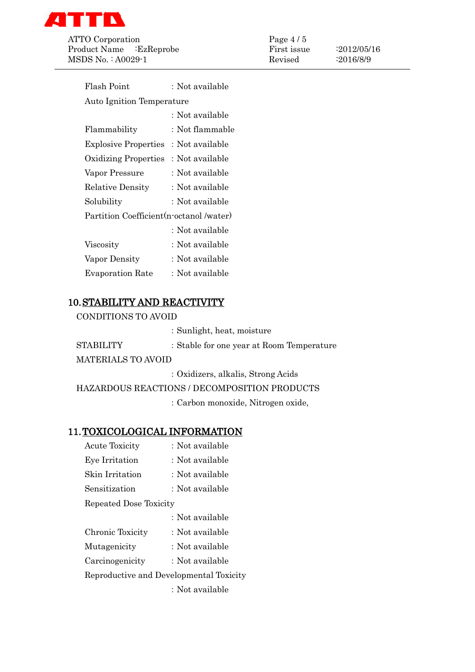

ATTO Corporation Page 4/5 Product Name :EzReprobe First issue :2012/05/16 MSDS No. : A0029-1 Revised :2016/8/9

| Flash Point                              | : Not available |  |
|------------------------------------------|-----------------|--|
| <b>Auto Ignition Temperature</b>         |                 |  |
|                                          | : Not available |  |
| Flammability                             | : Not flammable |  |
| <b>Explosive Properties</b>              | : Not available |  |
| <b>Oxidizing Properties</b>              | : Not available |  |
| Vapor Pressure                           | : Not available |  |
| <b>Relative Density</b>                  | : Not available |  |
| Solubility                               | : Not available |  |
| Partition Coefficient (n-octanol /water) |                 |  |
|                                          | : Not available |  |
| Viscosity                                | : Not available |  |
| Vapor Density                            | : Not available |  |
| <b>Evaporation Rate</b>                  | : Not available |  |
|                                          |                 |  |

# 10.STABILITY AND REACTIVITY

CONDITIONS TO AVOID

|                           | : Sunlight, heat, moisture                |
|---------------------------|-------------------------------------------|
| <b>STABILITY</b>          | : Stable for one year at Room Temperature |
| <b>MATERIALS TO AVOID</b> |                                           |
|                           | $\mathbf{11}$ $\mathbf{12}$ $\mathbf{13}$ |

:Oxidizers, alkalis, Strong Acids

HAZARDOUS REACTIONS / DECOMPOSITION PRODUCTS

:Carbon monoxide, Nitrogen oxide,

## 11.TOXICOLOGICAL INFORMATION

| <b>Acute Toxicity</b>                   | : Not available |
|-----------------------------------------|-----------------|
| Eye Irritation                          | : Not available |
| Skin Irritation                         | : Not available |
| Sensitization                           | : Not available |
| Repeated Dose Toxicity                  |                 |
|                                         | : Not available |
| Chronic Toxicity                        | : Not available |
| Mutagenicity                            | : Not available |
| Carcinogenicity                         | : Not available |
| Reproductive and Developmental Toxicity |                 |
|                                         | : Not available |